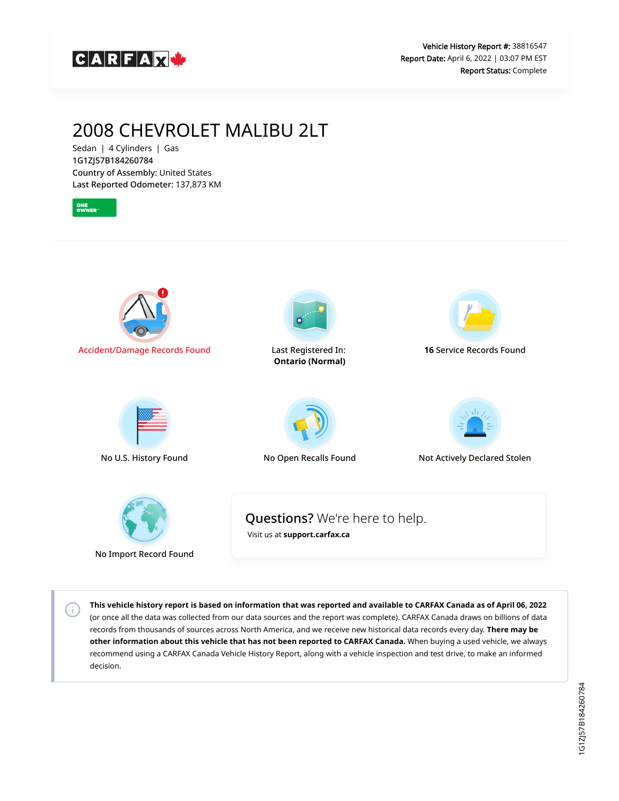

## 2008 CHEVROLET MALIBU 2LT

Sedan | 4 Cylinders | Gas 1G1ZJ57B184260784 Country of Assembly: United States Last Reported Odometer: 137,873 KM

 $\left( \cdot \right)$ 



**This vehicle history report is based on information that was reported and available to CARFAX Canada as of April 06, 2022** (or once all the data was collected from our data sources and the report was complete). CARFAX Canada draws on billions of data records from thousands of sources across North America, and we receive new historical data records every day. **There may be other information about this vehicle that has not been reported to CARFAX Canada.** When buying a used vehicle, we always recommend using a CARFAX Canada Vehicle History Report, along with a vehicle inspection and test drive, to make an informed decision.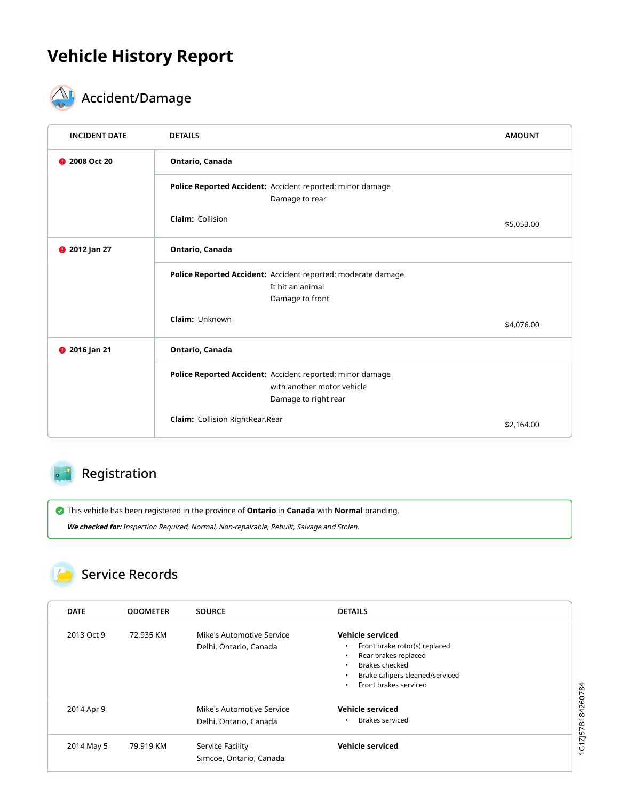# **Vehicle History Report**



# **ACCIDENTIFICATE**

| <b>INCIDENT DATE</b> | <b>DETAILS</b>                                                                                                  | <b>AMOUNT</b> |  |
|----------------------|-----------------------------------------------------------------------------------------------------------------|---------------|--|
| 2008 Oct 20          | Ontario, Canada                                                                                                 |               |  |
|                      | Police Reported Accident: Accident reported: minor damage<br>Damage to rear                                     |               |  |
|                      | <b>Claim: Collision</b>                                                                                         | \$5,053.00    |  |
| <b>9</b> 2012 Jan 27 | Ontario, Canada                                                                                                 |               |  |
|                      | Police Reported Accident: Accident reported: moderate damage<br>It hit an animal<br>Damage to front             |               |  |
|                      | Claim: Unknown                                                                                                  | \$4,076.00    |  |
| <b>@</b> 2016 Jan 21 | Ontario, Canada                                                                                                 |               |  |
|                      | Police Reported Accident: Accident reported: minor damage<br>with another motor vehicle<br>Damage to right rear |               |  |
|                      | <b>Claim:</b> Collision RightRear, Rear                                                                         | \$2,164.00    |  |

### Registration

This vehicle has been registered in the province of **Ontario** in **Canada** with **Normal** branding.

**We checked for:** Inspection Required, Normal, Non-repairable, Rebuilt, Salvage and Stolen.

### **Service Records**

| <b>DATE</b> | <b>ODOMETER</b> | <b>SOURCE</b>                                       | <b>DETAILS</b>                                                                                                                                                                         |
|-------------|-----------------|-----------------------------------------------------|----------------------------------------------------------------------------------------------------------------------------------------------------------------------------------------|
| 2013 Oct 9  | 72,935 KM       | Mike's Automotive Service<br>Delhi, Ontario, Canada | Vehicle serviced<br>Front brake rotor(s) replaced<br>٠<br>Rear brakes replaced<br>$\bullet$<br>Brakes checked<br>Brake calipers cleaned/serviced<br>$\bullet$<br>Front brakes serviced |
| 2014 Apr 9  |                 | Mike's Automotive Service<br>Delhi, Ontario, Canada | Vehicle serviced<br>Brakes serviced<br>٠                                                                                                                                               |
| 2014 May 5  | 79,919 KM       | Service Facility<br>Simcoe, Ontario, Canada         | Vehicle serviced                                                                                                                                                                       |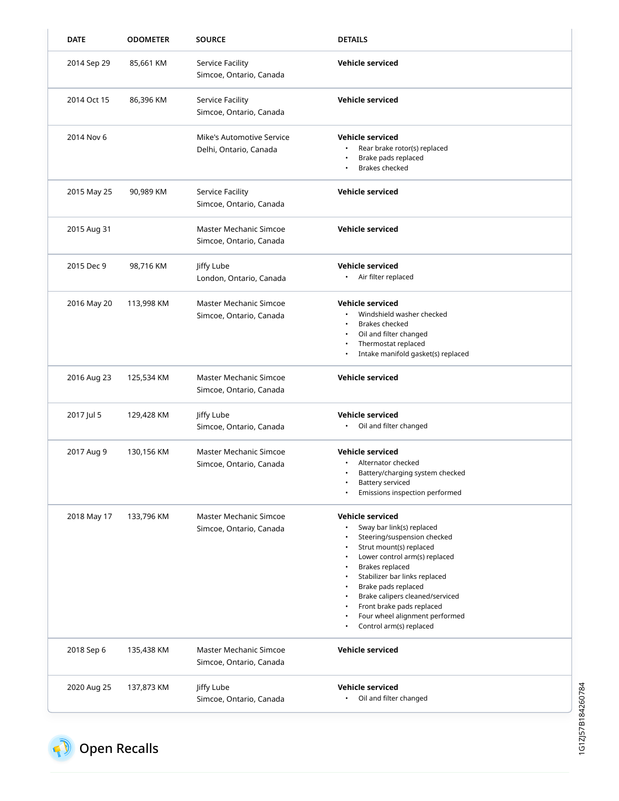| <b>DATE</b> | <b>ODOMETER</b> | <b>SOURCE</b>                                       | <b>DETAILS</b>                                                                                                                                                                                                                                                                                                                                                       |
|-------------|-----------------|-----------------------------------------------------|----------------------------------------------------------------------------------------------------------------------------------------------------------------------------------------------------------------------------------------------------------------------------------------------------------------------------------------------------------------------|
| 2014 Sep 29 | 85,661 KM       | <b>Service Facility</b><br>Simcoe, Ontario, Canada  | <b>Vehicle serviced</b>                                                                                                                                                                                                                                                                                                                                              |
| 2014 Oct 15 | 86,396 KM       | <b>Service Facility</b><br>Simcoe, Ontario, Canada  | <b>Vehicle serviced</b>                                                                                                                                                                                                                                                                                                                                              |
| 2014 Nov 6  |                 | Mike's Automotive Service<br>Delhi, Ontario, Canada | <b>Vehicle serviced</b><br>Rear brake rotor(s) replaced<br>Brake pads replaced<br><b>Brakes checked</b>                                                                                                                                                                                                                                                              |
| 2015 May 25 | 90,989 KM       | <b>Service Facility</b><br>Simcoe, Ontario, Canada  | <b>Vehicle serviced</b>                                                                                                                                                                                                                                                                                                                                              |
| 2015 Aug 31 |                 | Master Mechanic Simcoe<br>Simcoe, Ontario, Canada   | <b>Vehicle serviced</b>                                                                                                                                                                                                                                                                                                                                              |
| 2015 Dec 9  | 98,716 KM       | Jiffy Lube<br>London, Ontario, Canada               | <b>Vehicle serviced</b><br>• Air filter replaced                                                                                                                                                                                                                                                                                                                     |
| 2016 May 20 | 113,998 KM      | Master Mechanic Simcoe<br>Simcoe, Ontario, Canada   | <b>Vehicle serviced</b><br>Windshield washer checked<br><b>Brakes checked</b><br>Oil and filter changed<br>Thermostat replaced<br>٠<br>Intake manifold gasket(s) replaced                                                                                                                                                                                            |
| 2016 Aug 23 | 125,534 KM      | Master Mechanic Simcoe<br>Simcoe, Ontario, Canada   | <b>Vehicle serviced</b>                                                                                                                                                                                                                                                                                                                                              |
| 2017 Jul 5  | 129,428 KM      | Jiffy Lube<br>Simcoe, Ontario, Canada               | <b>Vehicle serviced</b><br>Oil and filter changed                                                                                                                                                                                                                                                                                                                    |
| 2017 Aug 9  | 130,156 KM      | Master Mechanic Simcoe<br>Simcoe, Ontario, Canada   | <b>Vehicle serviced</b><br>Alternator checked<br>Battery/charging system checked<br>Battery serviced<br>Emissions inspection performed                                                                                                                                                                                                                               |
| 2018 May 17 | 133,796 KM      | Master Mechanic Simcoe<br>Simcoe, Ontario, Canada   | <b>Vehicle serviced</b><br>Sway bar link(s) replaced<br>Steering/suspension checked<br>$\bullet$<br>Strut mount(s) replaced<br>Lower control arm(s) replaced<br>Brakes replaced<br>Stabilizer bar links replaced<br>Brake pads replaced<br>Brake calipers cleaned/serviced<br>Front brake pads replaced<br>Four wheel alignment performed<br>Control arm(s) replaced |
| 2018 Sep 6  | 135,438 KM      | Master Mechanic Simcoe<br>Simcoe, Ontario, Canada   | <b>Vehicle serviced</b>                                                                                                                                                                                                                                                                                                                                              |
| 2020 Aug 25 | 137,873 KM      | Jiffy Lube<br>Simcoe, Ontario, Canada               | <b>Vehicle serviced</b><br>Oil and filter changed<br>$\bullet$                                                                                                                                                                                                                                                                                                       |

<span id="page-2-0"></span>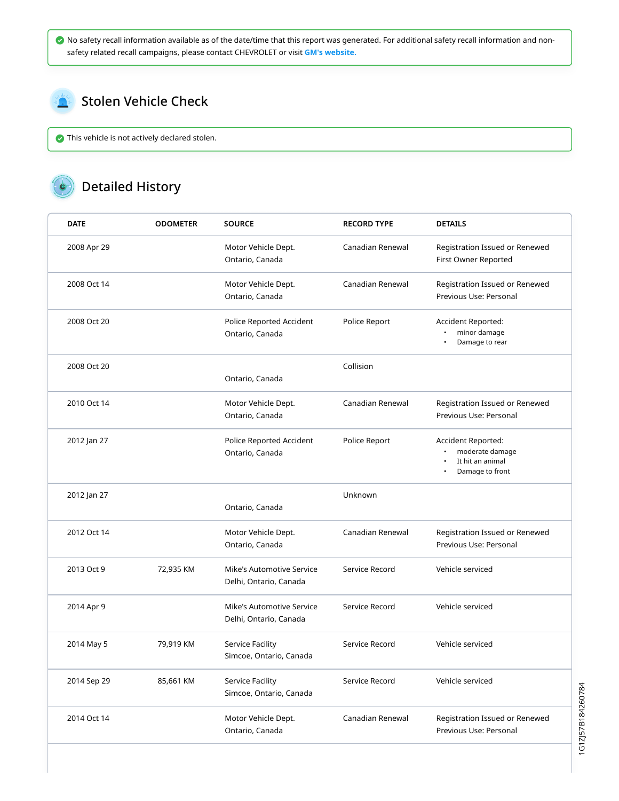No safety recall information available as of the date/time that this report was generated. For additional safety recall information and nonsafety related recall campaigns, please contact CHEVROLET or visit **[GM's website.](https://my.gm.ca/gm/en/recalls#%2F)**

#### <span id="page-3-0"></span>Stolen Vehicle Check  $\sum_{i=1}^{n}$

This vehicle is not actively declared stolen.

# Detailed History

| <b>DATE</b> | <b>ODOMETER</b> | <b>SOURCE</b>                                       | <b>RECORD TYPE</b> | <b>DETAILS</b>                                                               |
|-------------|-----------------|-----------------------------------------------------|--------------------|------------------------------------------------------------------------------|
| 2008 Apr 29 |                 | Motor Vehicle Dept.<br>Ontario, Canada              | Canadian Renewal   | Registration Issued or Renewed<br>First Owner Reported                       |
| 2008 Oct 14 |                 | Motor Vehicle Dept.<br>Ontario, Canada              | Canadian Renewal   | Registration Issued or Renewed<br>Previous Use: Personal                     |
| 2008 Oct 20 |                 | Police Reported Accident<br>Ontario, Canada         | Police Report      | Accident Reported:<br>minor damage<br>Damage to rear                         |
| 2008 Oct 20 |                 |                                                     | Collision          |                                                                              |
|             |                 | Ontario, Canada                                     |                    |                                                                              |
| 2010 Oct 14 |                 | Motor Vehicle Dept.<br>Ontario, Canada              | Canadian Renewal   | Registration Issued or Renewed<br>Previous Use: Personal                     |
| 2012 Jan 27 |                 | Police Reported Accident<br>Ontario, Canada         | Police Report      | Accident Reported:<br>moderate damage<br>It hit an animal<br>Damage to front |
| 2012 Jan 27 |                 | Ontario, Canada                                     | Unknown            |                                                                              |
| 2012 Oct 14 |                 | Motor Vehicle Dept.<br>Ontario, Canada              | Canadian Renewal   | Registration Issued or Renewed<br>Previous Use: Personal                     |
| 2013 Oct 9  | 72,935 KM       | Mike's Automotive Service<br>Delhi, Ontario, Canada | Service Record     | Vehicle serviced                                                             |
| 2014 Apr 9  |                 | Mike's Automotive Service<br>Delhi, Ontario, Canada | Service Record     | Vehicle serviced                                                             |
| 2014 May 5  | 79,919 KM       | Service Facility<br>Simcoe, Ontario, Canada         | Service Record     | Vehicle serviced                                                             |
| 2014 Sep 29 | 85,661 KM       | Service Facility<br>Simcoe, Ontario, Canada         | Service Record     | Vehicle serviced                                                             |
| 2014 Oct 14 |                 | Motor Vehicle Dept.<br>Ontario, Canada              | Canadian Renewal   | Registration Issued or Renewed<br>Previous Use: Personal                     |

1G1ZJ57B184260784 1G1ZJ57B184260784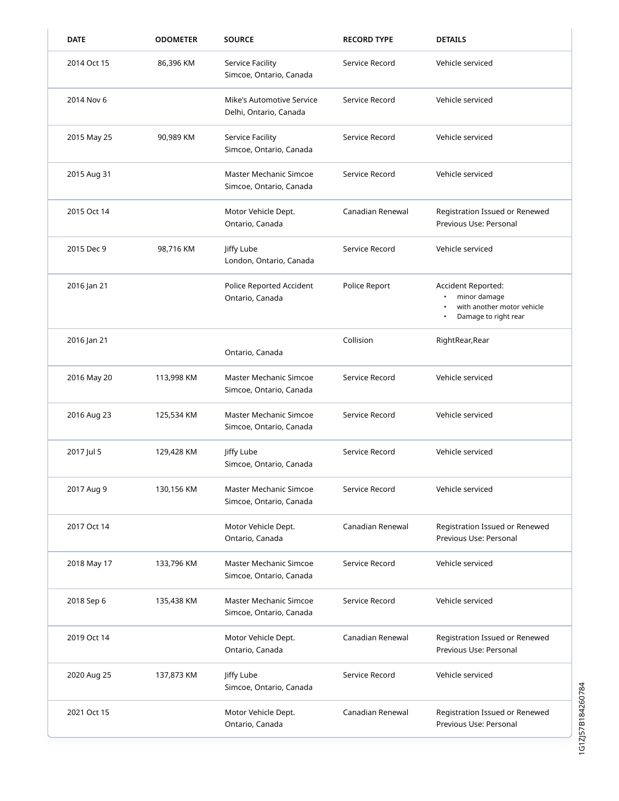| <b>DATE</b> | <b>ODOMETER</b> | <b>SOURCE</b>                                       | <b>RECORD TYPE</b> | <b>DETAILS</b>                                                                           |
|-------------|-----------------|-----------------------------------------------------|--------------------|------------------------------------------------------------------------------------------|
| 2014 Oct 15 | 86,396 KM       | Service Facility<br>Simcoe, Ontario, Canada         | Service Record     | Vehicle serviced                                                                         |
| 2014 Nov 6  |                 | Mike's Automotive Service<br>Delhi, Ontario, Canada | Service Record     | Vehicle serviced                                                                         |
| 2015 May 25 | 90,989 KM       | <b>Service Facility</b><br>Simcoe, Ontario, Canada  | Service Record     | Vehicle serviced                                                                         |
| 2015 Aug 31 |                 | Master Mechanic Simcoe<br>Simcoe, Ontario, Canada   | Service Record     | Vehicle serviced                                                                         |
| 2015 Oct 14 |                 | Motor Vehicle Dept.<br>Ontario, Canada              | Canadian Renewal   | Registration Issued or Renewed<br>Previous Use: Personal                                 |
| 2015 Dec 9  | 98,716 KM       | Jiffy Lube<br>London, Ontario, Canada               | Service Record     | Vehicle serviced                                                                         |
| 2016 Jan 21 |                 | Police Reported Accident<br>Ontario, Canada         | Police Report      | Accident Reported:<br>minor damage<br>with another motor vehicle<br>Damage to right rear |
| 2016 Jan 21 |                 | Ontario, Canada                                     | Collision          | RightRear, Rear                                                                          |
| 2016 May 20 | 113,998 KM      | Master Mechanic Simcoe<br>Simcoe, Ontario, Canada   | Service Record     | Vehicle serviced                                                                         |
| 2016 Aug 23 | 125,534 KM      | Master Mechanic Simcoe<br>Simcoe, Ontario, Canada   | Service Record     | Vehicle serviced                                                                         |
| 2017 Jul 5  | 129,428 KM      | Jiffy Lube<br>Simcoe, Ontario, Canada               | Service Record     | Vehicle serviced                                                                         |
| 2017 Aug 9  | 130,156 KM      | Master Mechanic Simcoe<br>Simcoe, Ontario, Canada   | Service Record     | Vehicle serviced                                                                         |
| 2017 Oct 14 |                 | Motor Vehicle Dept.<br>Ontario, Canada              | Canadian Renewal   | Registration Issued or Renewed<br>Previous Use: Personal                                 |
| 2018 May 17 | 133,796 KM      | Master Mechanic Simcoe<br>Simcoe, Ontario, Canada   | Service Record     | Vehicle serviced                                                                         |
| 2018 Sep 6  | 135,438 KM      | Master Mechanic Simcoe<br>Simcoe, Ontario, Canada   | Service Record     | Vehicle serviced                                                                         |
| 2019 Oct 14 |                 | Motor Vehicle Dept.<br>Ontario, Canada              | Canadian Renewal   | Registration Issued or Renewed<br>Previous Use: Personal                                 |
| 2020 Aug 25 | 137,873 KM      | Jiffy Lube<br>Simcoe, Ontario, Canada               | Service Record     | Vehicle serviced                                                                         |
| 2021 Oct 15 |                 | Motor Vehicle Dept.<br>Ontario, Canada              | Canadian Renewal   | Registration Issued or Renewed<br>Previous Use: Personal                                 |